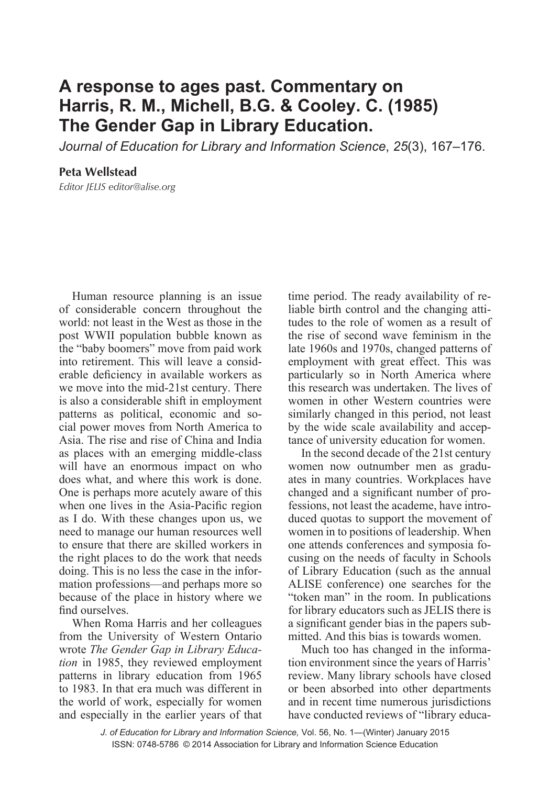## **A response to ages past. Commentary on Harris, R. M., Michell, B.G. & Cooley. C. (1985) The Gender Gap in Library Education.**

*Journal of Education for Library and Information Science*, *25*(3), 167–176.

**Peta Wellstead** *Editor JELIS editor@alise.org*

Human resource planning is an issue of considerable concern throughout the world: not least in the West as those in the post WWII population bubble known as the "baby boomers" move from paid work into retirement. This will leave a considerable deficiency in available workers as we move into the mid-21st century. There is also a considerable shift in employment patterns as political, economic and social power moves from North America to Asia. The rise and rise of China and India as places with an emerging middle-class will have an enormous impact on who does what, and where this work is done. One is perhaps more acutely aware of this when one lives in the Asia-Pacific region as I do. With these changes upon us, we need to manage our human resources well to ensure that there are skilled workers in the right places to do the work that needs doing. This is no less the case in the information professions—and perhaps more so because of the place in history where we find ourselves.

When Roma Harris and her colleagues from the University of Western Ontario wrote *The Gender Gap in Library Education* in 1985, they reviewed employment patterns in library education from 1965 to 1983. In that era much was different in the world of work, especially for women and especially in the earlier years of that time period. The ready availability of reliable birth control and the changing attitudes to the role of women as a result of the rise of second wave feminism in the late 1960s and 1970s, changed patterns of employment with great effect. This was particularly so in North America where this research was undertaken. The lives of women in other Western countries were similarly changed in this period, not least by the wide scale availability and acceptance of university education for women.

In the second decade of the 21st century women now outnumber men as graduates in many countries. Workplaces have changed and a significant number of professions, not least the academe, have introduced quotas to support the movement of women in to positions of leadership. When one attends conferences and symposia focusing on the needs of faculty in Schools of Library Education (such as the annual ALISE conference) one searches for the "token man" in the room. In publications for library educators such as JELIS there is a significant gender bias in the papers submitted. And this bias is towards women.

Much too has changed in the information environment since the years of Harris' review. Many library schools have closed or been absorbed into other departments and in recent time numerous jurisdictions have conducted reviews of "library educa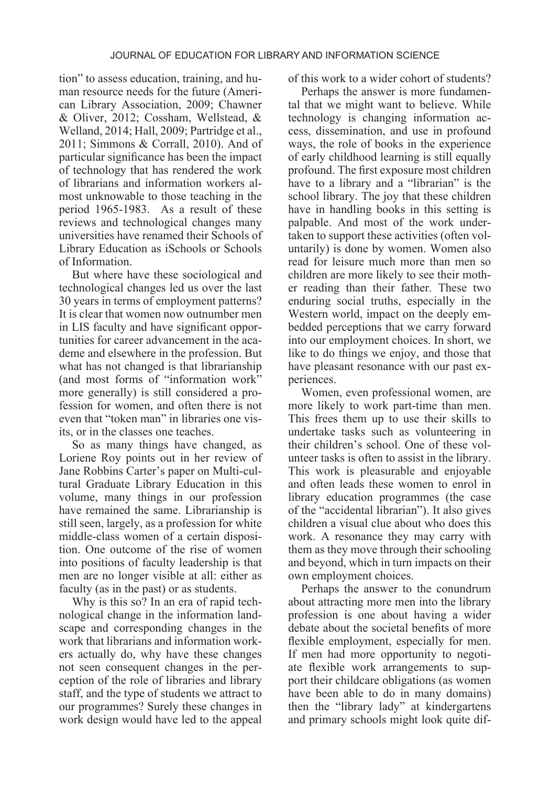tion" to assess education, training, and human resource needs for the future (American Library Association, 2009; Chawner & Oliver, 2012; Cossham, Wellstead, & Welland, 2014; Hall, 2009; Partridge et al., 2011; Simmons & Corrall, 2010). And of particular significance has been the impact of technology that has rendered the work of librarians and information workers almost unknowable to those teaching in the period 1965-1983. As a result of these reviews and technological changes many universities have renamed their Schools of Library Education as iSchools or Schools of Information.

But where have these sociological and technological changes led us over the last 30 years in terms of employment patterns? It is clear that women now outnumber men in LIS faculty and have significant opportunities for career advancement in the academe and elsewhere in the profession. But what has not changed is that librarianship (and most forms of "information work" more generally) is still considered a profession for women, and often there is not even that "token man" in libraries one visits, or in the classes one teaches.

So as many things have changed, as Loriene Roy points out in her review of Jane Robbins Carter's paper on Multi-cultural Graduate Library Education in this volume, many things in our profession have remained the same. Librarianship is still seen, largely, as a profession for white middle-class women of a certain disposition. One outcome of the rise of women into positions of faculty leadership is that men are no longer visible at all: either as faculty (as in the past) or as students.

Why is this so? In an era of rapid technological change in the information landscape and corresponding changes in the work that librarians and information workers actually do, why have these changes not seen consequent changes in the perception of the role of libraries and library staff, and the type of students we attract to our programmes? Surely these changes in work design would have led to the appeal

of this work to a wider cohort of students?

Perhaps the answer is more fundamental that we might want to believe. While technology is changing information access, dissemination, and use in profound ways, the role of books in the experience of early childhood learning is still equally profound. The first exposure most children have to a library and a "librarian" is the school library. The joy that these children have in handling books in this setting is palpable. And most of the work undertaken to support these activities (often voluntarily) is done by women. Women also read for leisure much more than men so children are more likely to see their mother reading than their father. These two enduring social truths, especially in the Western world, impact on the deeply embedded perceptions that we carry forward into our employment choices. In short, we like to do things we enjoy, and those that have pleasant resonance with our past experiences.

Women, even professional women, are more likely to work part-time than men. This frees them up to use their skills to undertake tasks such as volunteering in their children's school. One of these volunteer tasks is often to assist in the library. This work is pleasurable and enjoyable and often leads these women to enrol in library education programmes (the case of the "accidental librarian"). It also gives children a visual clue about who does this work. A resonance they may carry with them as they move through their schooling and beyond, which in turn impacts on their own employment choices.

Perhaps the answer to the conundrum about attracting more men into the library profession is one about having a wider debate about the societal benefits of more flexible employment, especially for men. If men had more opportunity to negotiate flexible work arrangements to support their childcare obligations (as women have been able to do in many domains) then the "library lady" at kindergartens and primary schools might look quite dif